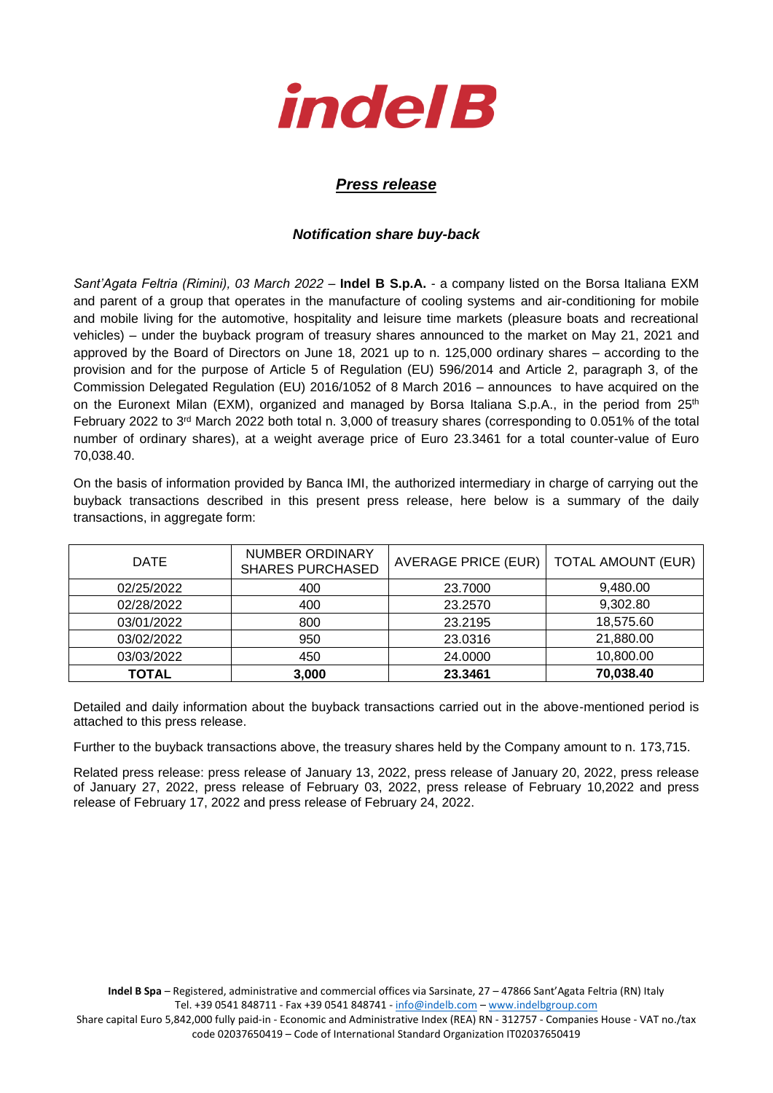

## *Press release*

## *Notification share buy-back*

*Sant'Agata Feltria (Rimini), 03 March 2022* – **Indel B S.p.A.** - a company listed on the Borsa Italiana EXM and parent of a group that operates in the manufacture of cooling systems and air-conditioning for mobile and mobile living for the automotive, hospitality and leisure time markets (pleasure boats and recreational vehicles) – under the buyback program of treasury shares announced to the market on May 21, 2021 and approved by the Board of Directors on June 18, 2021 up to n. 125,000 ordinary shares – according to the provision and for the purpose of Article 5 of Regulation (EU) 596/2014 and Article 2, paragraph 3, of the Commission Delegated Regulation (EU) 2016/1052 of 8 March 2016 – announces to have acquired on the on the Euronext Milan (EXM), organized and managed by Borsa Italiana S.p.A., in the period from 25<sup>th</sup> February 2022 to 3<sup>rd</sup> March 2022 both total n. 3,000 of treasury shares (corresponding to 0.051% of the total number of ordinary shares), at a weight average price of Euro 23.3461 for a total counter-value of Euro 70,038.40.

On the basis of information provided by Banca IMI, the authorized intermediary in charge of carrying out the buyback transactions described in this present press release, here below is a summary of the daily transactions, in aggregate form:

| <b>DATE</b>  | <b>NUMBER ORDINARY</b><br><b>SHARES PURCHASED</b> | <b>AVERAGE PRICE (EUR)</b> | <b>TOTAL AMOUNT (EUR)</b> |
|--------------|---------------------------------------------------|----------------------------|---------------------------|
| 02/25/2022   | 400                                               | 23.7000                    | 9,480.00                  |
| 02/28/2022   | 400                                               | 23.2570                    | 9,302.80                  |
| 03/01/2022   | 800                                               | 23.2195                    | 18,575.60                 |
| 03/02/2022   | 950                                               | 23.0316                    | 21,880.00                 |
| 03/03/2022   | 450                                               | 24.0000                    | 10,800.00                 |
| <b>TOTAL</b> | 3,000                                             | 23.3461                    | 70,038.40                 |

Detailed and daily information about the buyback transactions carried out in the above-mentioned period is attached to this press release.

Further to the buyback transactions above, the treasury shares held by the Company amount to n. 173,715.

Related press release: press release of January 13, 2022, press release of January 20, 2022, press release of January 27, 2022, press release of February 03, 2022, press release of February 10,2022 and press release of February 17, 2022 and press release of February 24, 2022.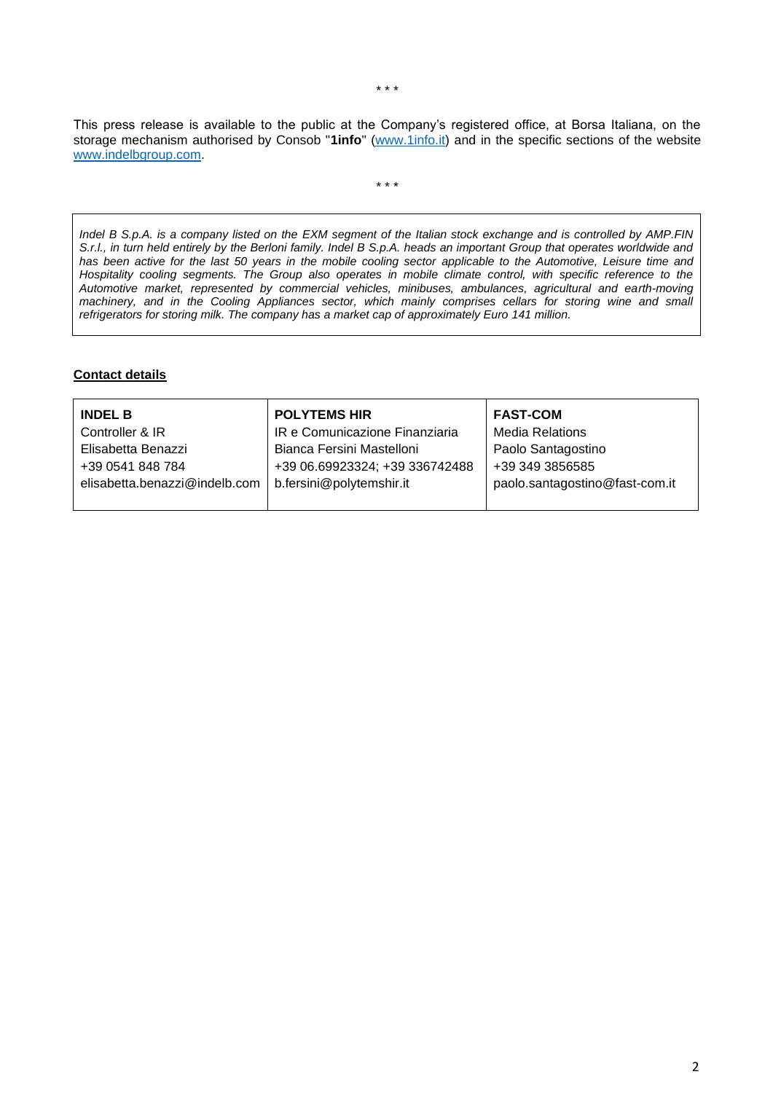This press release is available to the public at the Company's registered office, at Borsa Italiana, on the storage mechanism authorised by Consob "**1info**" [\(www.1info.it\)](file:///C:/Users/ddelietovollaro/AppData/Local/Microsoft/Windows/INetCache/Content.Outlook/T87B94UR/www.1info.it) and in the specific sections of the website [www.indelbgroup.com.](http://www.indelbgroup.com/)

\* \* \*

*Indel B S.p.A. is a company listed on the EXM segment of the Italian stock exchange and is controlled by AMP.FIN S.r.l., in turn held entirely by the Berloni family. Indel B S.p.A. heads an important Group that operates worldwide and has been active for the last 50 years in the mobile cooling sector applicable to the Automotive, Leisure time and Hospitality cooling segments. The Group also operates in mobile climate control, with specific reference to the Automotive market, represented by commercial vehicles, minibuses, ambulances, agricultural and earth-moving*  machinery, and in the Cooling Appliances sector, which mainly comprises cellars for storing wine and small *refrigerators for storing milk. The company has a market cap of approximately Euro 141 million.*

## **Contact details**

| <b>INDEL B</b>                | <b>POLYTEMS HIR</b>            | <b>FAST-COM</b>                |
|-------------------------------|--------------------------------|--------------------------------|
| Controller & IR               | IR e Comunicazione Finanziaria | <b>Media Relations</b>         |
| Elisabetta Benazzi            | Bianca Fersini Mastelloni      | Paolo Santagostino             |
| +39 0541 848 784              | +39 06.69923324; +39 336742488 | +39 349 3856585                |
| elisabetta.benazzi@indelb.com | b.fersini@polytemshir.it       | paolo.santagostino@fast-com.it |
|                               |                                |                                |